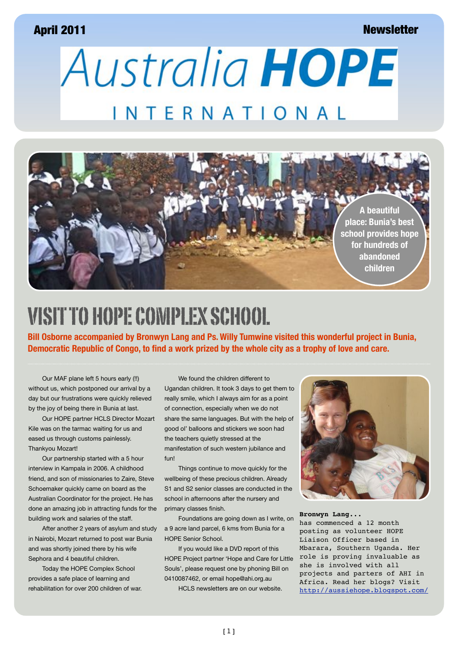#### April 2011

#### **Newsletter**

**Australia HOPE** INTERNATIONAL



## VISIT TO HOPE COMPLEX SCHOOL

**Bill Osborne accompanied by Bronwyn Lang and Ps. Willy Tumwine visited this wonderful project in Bunia, Democratic Republic of Congo, to find a work prized by the whole city as a trophy of love and care.**

Our MAF plane left 5 hours early (!!) without us, which postponed our arrival by a day but our frustrations were quickly relieved by the joy of being there in Bunia at last.

Our HOPE partner HCLS Director Mozart Kile was on the tarmac waiting for us and eased us through customs painlessly. Thankyou Mozart!

Our partnership started with a 5 hour interview in Kampala in 2006. A childhood friend, and son of missionaries to Zaire, Steve Schoemaker quickly came on board as the Australian Coordinator for the project. He has done an amazing job in attracting funds for the building work and salaries of the staff.

After another 2 years of asylum and study in Nairobi, Mozart returned to post war Bunia and was shortly joined there by his wife Sephora and 4 beautiful children.

Today the HOPE Complex School provides a safe place of learning and rehabilitation for over 200 children of war.

We found the children different to Ugandan children. It took 3 days to get them to really smile, which I always aim for as a point of connection, especially when we do not share the same languages. But with the help of good ol' balloons and stickers we soon had the teachers quietly stressed at the manifestation of such western jubilance and fun!

Things continue to move quickly for the wellbeing of these precious children. Already S1 and S2 senior classes are conducted in the school in afternoons after the nursery and primary classes finish.

Foundations are going down as I write, on a 9 acre land parcel, 6 kms from Bunia for a HOPE Senior School.

If you would like a DVD report of this HOPE Project partner 'Hope and Care for Little Souls', please request one by phoning Bill on 0410087462, or email [hope@ahi.org.au](mailto:hope@ahi.org.au)

HCLS newsletters are on our website.



#### **Bronwyn Lang...** has commenced a 12 month posting as volunteer HOPE Liaison Officer based in Mbarara, Southern Uganda. Her role is proving invaluable as she is involved with all projects and parters of AHI in Africa. Read her blogs? Visit [http://aussiehope.blogspot.com/](http://www.facebook.com/l/36c7cbatlRJPJu8DnZ3hvzMRu_Q/aussiehope.blogspot.com/2011/04/people-i-know.html?spref=fb)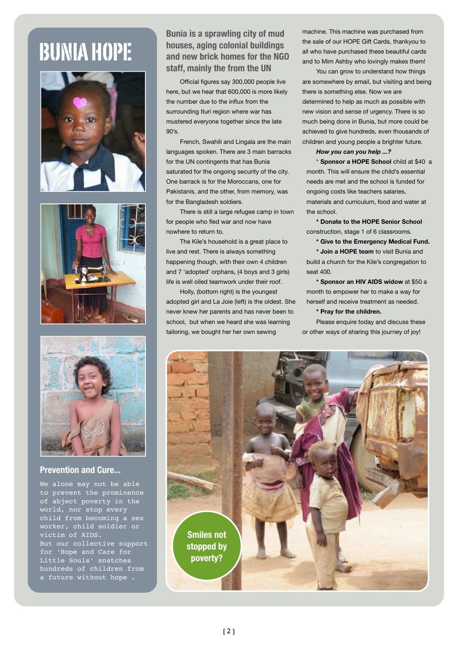# BUNIA HOPE







#### **Prevention and Cure...**

We alone may not be able to prevent the prominence of abject poverty in the world, nor stop every child from becoming a sex worker, child soldier or victim of AIDS. But our collective support for 'Hope and Care for Little Souls' snatches hundreds of children from a future without hope .

#### **Bunia is a sprawling city of mud houses, aging colonial buildings and new brick homes for the NGO staff, mainly the from the UN**

Official figures say 300,000 people live here, but we hear that 600,000 is more likely the number due to the influx from the surrounding Ituri region where war has mustered everyone together since the late 90's.

French, Swahili and Lingala are the main languages spoken. There are 3 main barracks for the UN contingents that has Bunia saturated for the ongoing security of the city. One barrack is for the Moroccans, one for Pakistanis, and the other, from memory, was for the Bangladesh soldiers.

There is still a large refugee camp in town for people who fled war and now have nowhere to return to.

The Kile's household is a great place to live and rest. There is always something happening though, with their own 4 children and 7 'adopted' orphans, (4 boys and 3 girls) life is well oiled teamwork under their roof.

Holly, (bottom right) is the youngest adopted girl and La Joie (left) is the oldest. She never knew her parents and has never been to school, but when we heard she was learning tailoring, we bought her her own sewing

machine. This machine was purchased from the sale of our HOPE Gift Cards, thankyou to all who have purchased these beautiful cards and to Mim Ashby who lovingly makes them!

You can grow to understand how things are somewhere by email, but visiting and being there is something else. Now we are determined to help as much as possible with new vision and sense of urgency. There is so much being done in Bunia, but more could be achieved to give hundreds, even thousands of children and young people a brighter future.

#### *How you can you help ...?*

\* **Sponsor a HOPE School** child at \$40 a month. This will ensure the child's essential needs are met and the school is funded for ongoing costs like teachers salaries, materials and curriculum, food and water at the school.

**\* Donate to the HOPE Senior School**  construction, stage 1 of 6 classrooms.

**\* Give to the Emergency Medical Fund.**

**\* Join a HOPE team** to visit Bunia and build a church for the Kile's congregation to seat 400.

**\* Sponsor an HIV AIDS widow** at \$50 a month to empower her to make a way for herself and receive treatment as needed.

#### **\* Pray for the children.**

Please enquire today and discuss these or other ways of sharing this journey of joy!

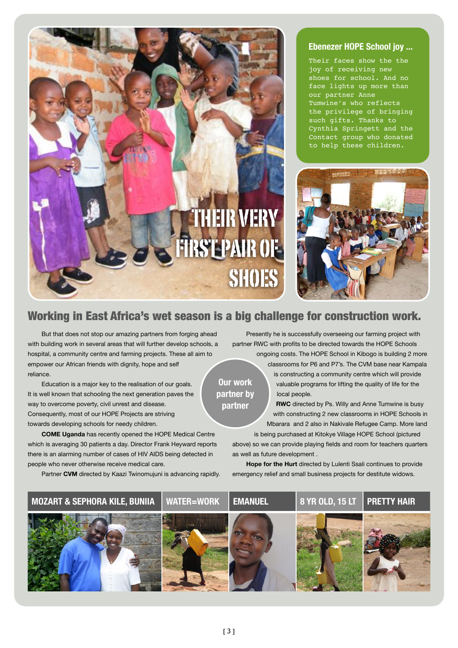

#### **Ebenezer HOPE School joy ...**

Their faces show the the joy of receiving new shoes for school. And no face lights up more than our partner Anne Tumwine's who reflects the privilege of bringing such gifts. Thanks to Cynthia Springett and the Contact group who donated to help these children.



#### Working in East Africa's wet season is a big challenge for construction work.

**Our work partner by partner**

But that does not stop our amazing partners from forging ahead with building work in several areas that will further develop schools, a hospital, a community centre and farming projects. These all aim to empower our African friends with dignity, hope and self reliance.

Education is a major key to the realisation of our goals. It is well known that schooling the next generation paves the way to overcome poverty, civil unrest and disease. Consequently, most of our HOPE Projects are striving towards developing schools for needy children.

**COME Uganda** has recently opened the HOPE Medical Centre which is averaging 30 patients a day. Director Frank Heyward reports there is an alarming number of cases of HIV AIDS being detected in people who never otherwise receive medical care.

Partner **CVM** directed by Kaazi Twinomujuni is advancing rapidly.

Presently he is successfully overseeing our farming project with partner RWC with profits to be directed towards the HOPE Schools ongoing costs. The HOPE School in Kibogo is building 2 more

> classrooms for P6 and P7's. The CVM base near Kampala is constructing a community centre which will provide valuable programs for lifting the quality of life for the local people.

**RWC** directed by Ps. Willy and Anne Tumwine is busy with constructing 2 new classrooms in HOPE Schools in Mbarara and 2 also in Nakivale Refugee Camp. More land is being purchased at Kitokye Village HOPE School (pictured

above) so we can provide playing fields and room for teachers quarters as well as future development .

**Hope for the Hurt** directed by Lulenti Ssali continues to provide emergency relief and small business projects for destitute widows.